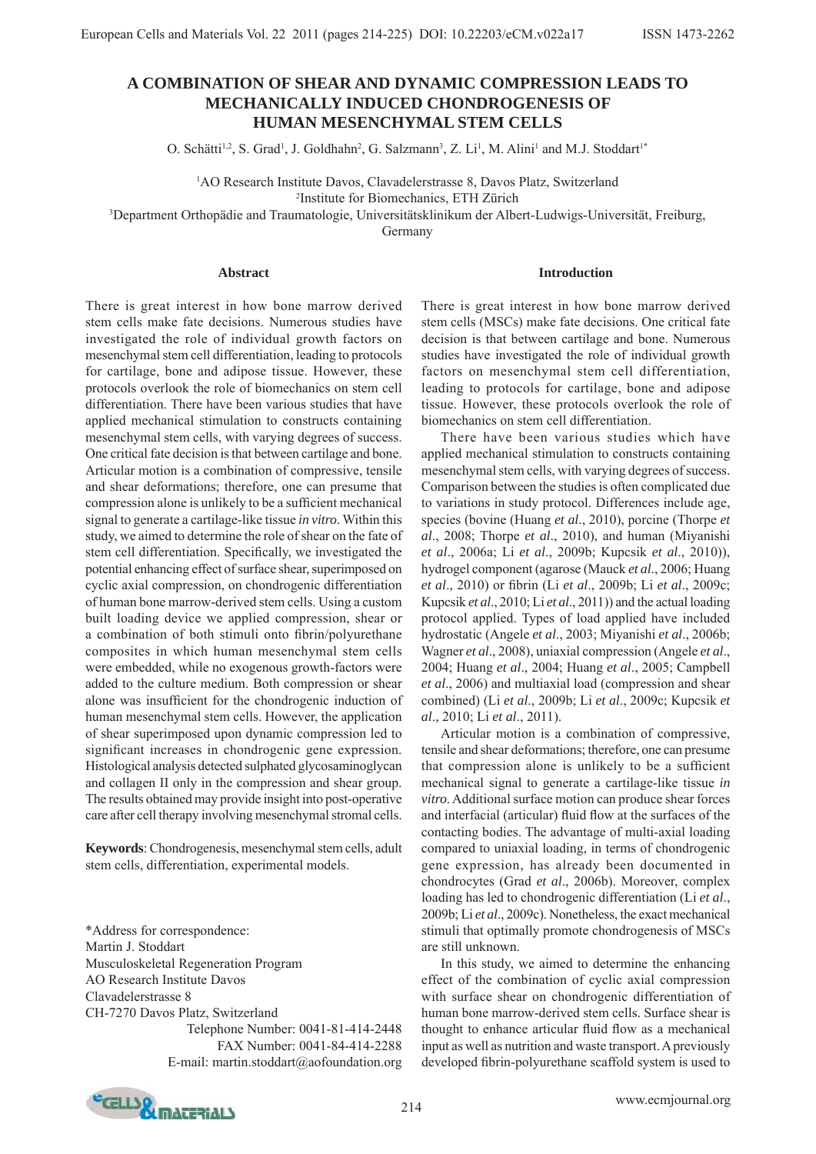# **A COMBINATION OF SHEAR AND DYNAMIC COMPRESSION LEADS TO MECHANICALLY INDUCED CHONDROGENESIS OF HUMAN MESENCHYMAL STEM CELLS**

O. Schätti<sup>1,2</sup>, S. Grad<sup>1</sup>, J. Goldhahn<sup>2</sup>, G. Salzmann<sup>3</sup>, Z. Li<sup>1</sup>, M. Alini<sup>1</sup> and M.J. Stoddart<sup>1\*</sup>

<sup>1</sup>AO Research Institute Davos, Clavadelerstrasse 8, Davos Platz, Switzerland

2 Institute for Biomechanics, ETH Zürich

3 Department Orthopädie and Traumatologie, Universitätsklinikum der Albert-Ludwigs-Universität, Freiburg,

Germany

#### **Abstract**

There is great interest in how bone marrow derived stem cells make fate decisions. Numerous studies have investigated the role of individual growth factors on mesenchymal stem cell differentiation, leading to protocols for cartilage, bone and adipose tissue. However, these protocols overlook the role of biomechanics on stem cell differentiation. There have been various studies that have applied mechanical stimulation to constructs containing mesenchymal stem cells, with varying degrees of success. One critical fate decision is that between cartilage and bone. Articular motion is a combination of compressive, tensile and shear deformations; therefore, one can presume that compression alone is unlikely to be a sufficient mechanical signal to generate a cartilage-like tissue *in vitro*. Within this study, we aimed to determine the role of shear on the fate of stem cell differentiation. Specifically, we investigated the potential enhancing effect of surface shear, superimposed on cyclic axial compression, on chondrogenic differentiation of human bone marrow-derived stem cells. Using a custom built loading device we applied compression, shear or a combination of both stimuli onto fibrin/polyurethane composites in which human mesenchymal stem cells were embedded, while no exogenous growth-factors were added to the culture medium. Both compression or shear alone was insufficient for the chondrogenic induction of human mesenchymal stem cells. However, the application of shear superimposed upon dynamic compression led to significant increases in chondrogenic gene expression. Histological analysis detected sulphated glycosaminoglycan and collagen II only in the compression and shear group. The results obtained may provide insight into post-operative care after cell therapy involving mesenchymal stromal cells.

**Keywords**: Chondrogenesis, mesenchymal stem cells, adult stem cells, differentiation, experimental models.

\*Address for correspondence: Martin J. Stoddart Musculoskeletal Regeneration Program AO Research Institute Davos

Clavadelerstrasse 8

CH-7270 Davos Platz, Switzerland Telephone Number: 0041-81-414-2448 FAX Number: 0041-84-414-2288 E-mail: martin.stoddart@aofoundation.org

#### **Introduction**

There is great interest in how bone marrow derived stem cells (MSCs) make fate decisions. One critical fate decision is that between cartilage and bone. Numerous studies have investigated the role of individual growth factors on mesenchymal stem cell differentiation, leading to protocols for cartilage, bone and adipose tissue. However, these protocols overlook the role of biomechanics on stem cell differentiation.

 There have been various studies which have applied mechanical stimulation to constructs containing mesenchymal stem cells, with varying degrees of success. Comparison between the studies is often complicated due to variations in study protocol. Differences include age, species (bovine (Huang *et al*., 2010), porcine (Thorpe *et al*., 2008; Thorpe *et al*., 2010), and human (Miyanishi *et al*., 2006a; Li *et al*., 2009b; Kupcsik *et al*., 2010)), hydrogel component (agarose (Mauck *et al*., 2006; Huang *et al.*, 2010) or fibrin (Li *et al.*, 2009b; Li *et al.*, 2009c; Kupcsik *et al*., 2010; Li *et al*., 2011)) and the actual loading protocol applied. Types of load applied have included hydrostatic (Angele *et al*., 2003; Miyanishi *et al*., 2006b; Wagner *et al*., 2008), uniaxial compression (Angele *et al*., 2004; Huang *et al*., 2004; Huang *et al*., 2005; Campbell *et al*., 2006) and multiaxial load (compression and shear combined) (Li *et al*., 2009b; Li *et al*., 2009c; Kupcsik *et al*., 2010; Li *et al*., 2011).

 Articular motion is a combination of compressive, tensile and shear deformations; therefore, one can presume that compression alone is unlikely to be a sufficient mechanical signal to generate a cartilage-like tissue *in vitro*. Additional surface motion can produce shear forces and interfacial (articular) fluid flow at the surfaces of the contacting bodies. The advantage of multi-axial loading compared to uniaxial loading, in terms of chondrogenic gene expression, has already been documented in chondrocytes (Grad *et al*., 2006b). Moreover, complex loading has led to chondrogenic differentiation (Li *et al*., 2009b; Li *et al*., 2009c). Nonetheless, the exact mechanical stimuli that optimally promote chondrogenesis of MSCs are still unknown.

 In this study, we aimed to determine the enhancing effect of the combination of cyclic axial compression with surface shear on chondrogenic differentiation of human bone marrow-derived stem cells. Surface shear is thought to enhance articular fluid flow as a mechanical input as well as nutrition and waste transport. A previously developed fibrin-polyurethane scaffold system is used to

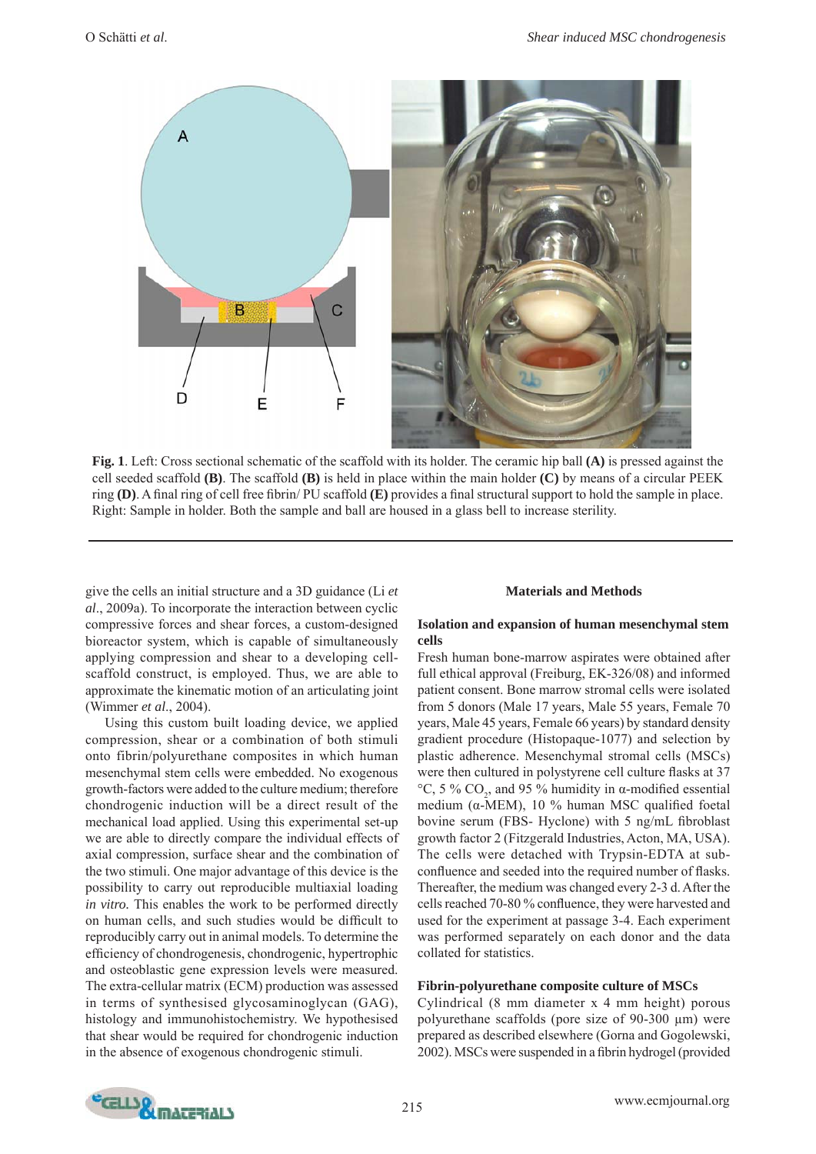

**Fig. 1**. Left: Cross sectional schematic of the scaffold with its holder. The ceramic hip ball **(A)** is pressed against the cell seeded scaffold **(B)**. The scaffold **(B)** is held in place within the main holder **(C)** by means of a circular PEEK ring **(D)**. A final ring of cell free fibrin/ PU scaffold **(E)** provides a final structural support to hold the sample in place. Right: Sample in holder. Both the sample and ball are housed in a glass bell to increase sterility.

give the cells an initial structure and a 3D guidance (Li *et al*., 2009a). To incorporate the interaction between cyclic compressive forces and shear forces, a custom-designed bioreactor system, which is capable of simultaneously applying compression and shear to a developing cellscaffold construct, is employed. Thus, we are able to approximate the kinematic motion of an articulating joint (Wimmer *et al*., 2004).

 Using this custom built loading device, we applied compression, shear or a combination of both stimuli onto fibrin/polyurethane composites in which human mesenchymal stem cells were embedded. No exogenous growth-factors were added to the culture medium; therefore chondrogenic induction will be a direct result of the mechanical load applied. Using this experimental set-up we are able to directly compare the individual effects of axial compression, surface shear and the combination of the two stimuli. One major advantage of this device is the possibility to carry out reproducible multiaxial loading *in vitro.* This enables the work to be performed directly on human cells, and such studies would be difficult to reproducibly carry out in animal models. To determine the efficiency of chondrogenesis, chondrogenic, hypertrophic and osteoblastic gene expression levels were measured. The extra-cellular matrix (ECM) production was assessed in terms of synthesised glycosaminoglycan (GAG), histology and immunohistochemistry. We hypothesised that shear would be required for chondrogenic induction in the absence of exogenous chondrogenic stimuli.

# **Materials and Methods**

# **Isolation and expansion of human mesenchymal stem cells**

Fresh human bone-marrow aspirates were obtained after full ethical approval (Freiburg, EK-326/08) and informed patient consent. Bone marrow stromal cells were isolated from 5 donors (Male 17 years, Male 55 years, Female 70 years, Male 45 years, Female 66 years) by standard density gradient procedure (Histopaque-1077) and selection by plastic adherence. Mesenchymal stromal cells (MSCs) were then cultured in polystyrene cell culture flasks at 37 °C, 5 % CO<sub>2</sub>, and 95 % humidity in  $\alpha$ -modified essential medium ( $α$ -MEM), 10 % human MSC qualified foetal bovine serum (FBS- Hyclone) with 5 ng/mL fibroblast growth factor 2 (Fitzgerald Industries, Acton, MA, USA). The cells were detached with Trypsin-EDTA at subconfluence and seeded into the required number of flasks. Thereafter, the medium was changed every 2-3 d. After the cells reached 70-80 % confluence, they were harvested and used for the experiment at passage 3-4. Each experiment was performed separately on each donor and the data collated for statistics.

# **Fibrin-polyurethane composite culture of MSCs**

Cylindrical (8 mm diameter x 4 mm height) porous polyurethane scaffolds (pore size of 90-300 μm) were prepared as described elsewhere (Gorna and Gogolewski, 2002). MSCs were suspended in a fibrin hydrogel (provided

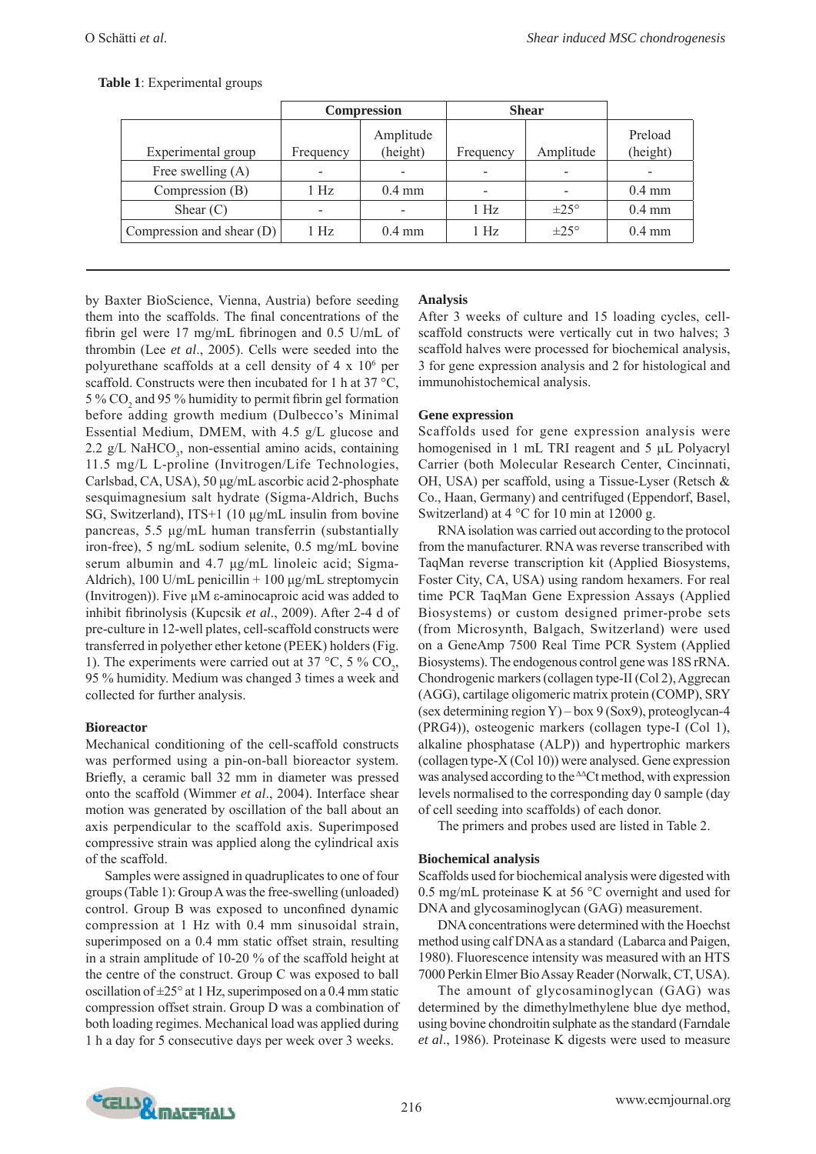|  |  | Table 1: Experimental groups |  |
|--|--|------------------------------|--|
|--|--|------------------------------|--|

|                             | Compression |                       | <b>Shear</b>             |                  |                     |
|-----------------------------|-------------|-----------------------|--------------------------|------------------|---------------------|
| Experimental group          | Frequency   | Amplitude<br>(height) | Frequency                | Amplitude        | Preload<br>(height) |
| Free swelling $(A)$         |             |                       | $\overline{\phantom{0}}$ |                  |                     |
| Compression (B)             | 1 Hz        | $0.4 \text{ mm}$      |                          |                  | $0.4 \text{ mm}$    |
| Shear $(C)$                 |             |                       | 1 Hz                     | $\pm 25^{\circ}$ | $0.4 \text{ mm}$    |
| Compression and shear $(D)$ | 1 Hz        | $0.4 \text{ mm}$      | 1 Hz                     | $\pm 25^{\circ}$ | $0.4 \text{ mm}$    |

by Baxter BioScience, Vienna, Austria) before seeding them into the scaffolds. The final concentrations of the fibrin gel were 17 mg/mL fibrinogen and  $0.5$  U/mL of thrombin (Lee *et al*., 2005). Cells were seeded into the polyurethane scaffolds at a cell density of  $4 \times 10^6$  per scaffold. Constructs were then incubated for 1 h at 37 °C, 5 %  $CO<sub>2</sub>$  and 95 % humidity to permit fibrin gel formation before adding growth medium (Dulbecco's Minimal Essential Medium, DMEM, with 4.5 g/L glucose and 2.2 g/L NaHCO<sub>3</sub>, non-essential amino acids, containing 11.5 mg/L L-proline (Invitrogen/Life Technologies, Carlsbad, CA, USA), 50 μg/mL ascorbic acid 2-phosphate sesquimagnesium salt hydrate (Sigma-Aldrich, Buchs SG, Switzerland), ITS+1 (10 μg/mL insulin from bovine pancreas, 5.5 μg/mL human transferrin (substantially iron-free), 5 ng/mL sodium selenite, 0.5 mg/mL bovine serum albumin and 4.7 μg/mL linoleic acid; Sigma-Aldrich), 100 U/mL penicillin  $+$  100 μg/mL streptomycin (Invitrogen)). Five μM ε-aminocaproic acid was added to inhibit fibrinolysis (Kupcsik et al., 2009). After 2-4 d of pre-culture in 12-well plates, cell-scaffold constructs were transferred in polyether ether ketone (PEEK) holders (Fig. 1). The experiments were carried out at 37 °C, 5 %  $CO_2$ , 95 % humidity. Medium was changed 3 times a week and collected for further analysis.

# **Bioreactor**

Mechanical conditioning of the cell-scaffold constructs was performed using a pin-on-ball bioreactor system. Briefly, a ceramic ball 32 mm in diameter was pressed onto the scaffold (Wimmer *et al*., 2004). Interface shear motion was generated by oscillation of the ball about an axis perpendicular to the scaffold axis. Superimposed compressive strain was applied along the cylindrical axis of the scaffold.

 Samples were assigned in quadruplicates to one of four groups (Table 1): Group A was the free-swelling (unloaded) control. Group B was exposed to unconfined dynamic compression at 1 Hz with 0.4 mm sinusoidal strain, superimposed on a 0.4 mm static offset strain, resulting in a strain amplitude of 10-20 % of the scaffold height at the centre of the construct. Group C was exposed to ball oscillation of  $\pm 25^{\circ}$  at 1 Hz, superimposed on a 0.4 mm static compression offset strain. Group D was a combination of both loading regimes. Mechanical load was applied during 1 h a day for 5 consecutive days per week over 3 weeks.

# **Analysis**

After 3 weeks of culture and 15 loading cycles, cellscaffold constructs were vertically cut in two halves; 3 scaffold halves were processed for biochemical analysis, 3 for gene expression analysis and 2 for histological and immunohistochemical analysis.

# **Gene expression**

Scaffolds used for gene expression analysis were homogenised in 1 mL TRI reagent and 5 μL Polyacryl Carrier (both Molecular Research Center, Cincinnati, OH, USA) per scaffold, using a Tissue-Lyser (Retsch & Co., Haan, Germany) and centrifuged (Eppendorf, Basel, Switzerland) at 4 °C for 10 min at 12000 g.

 RNA isolation was carried out according to the protocol from the manufacturer. RNA was reverse transcribed with TaqMan reverse transcription kit (Applied Biosystems, Foster City, CA, USA) using random hexamers. For real time PCR TaqMan Gene Expression Assays (Applied Biosystems) or custom designed primer-probe sets (from Microsynth, Balgach, Switzerland) were used on a GeneAmp 7500 Real Time PCR System (Applied Biosystems). The endogenous control gene was 18S rRNA. Chondrogenic markers (collagen type-II (Col 2), Aggrecan (AGG), cartilage oligomeric matrix protein (COMP), SRY (sex determining region Y) – box 9 (Sox9), proteoglycan-4 (PRG4)), osteogenic markers (collagen type-I (Col 1), alkaline phosphatase (ALP)) and hypertrophic markers (collagen type-X (Col 10)) were analysed. Gene expression was analysed according to the ΔΔCt method, with expression levels normalised to the corresponding day 0 sample (day of cell seeding into scaffolds) of each donor.

The primers and probes used are listed in Table 2.

# **Biochemical analysis**

Scaffolds used for biochemical analysis were digested with 0.5 mg/mL proteinase K at 56 °C overnight and used for DNA and glycosaminoglycan (GAG) measurement.

 DNA concentrations were determined with the Hoechst method using calf DNA as a standard (Labarca and Paigen, 1980). Fluorescence intensity was measured with an HTS 7000 Perkin Elmer Bio Assay Reader (Norwalk, CT, USA).

 The amount of glycosaminoglycan (GAG) was determined by the dimethylmethylene blue dye method, using bovine chondroitin sulphate as the standard (Farndale *et al*., 1986). Proteinase K digests were used to measure

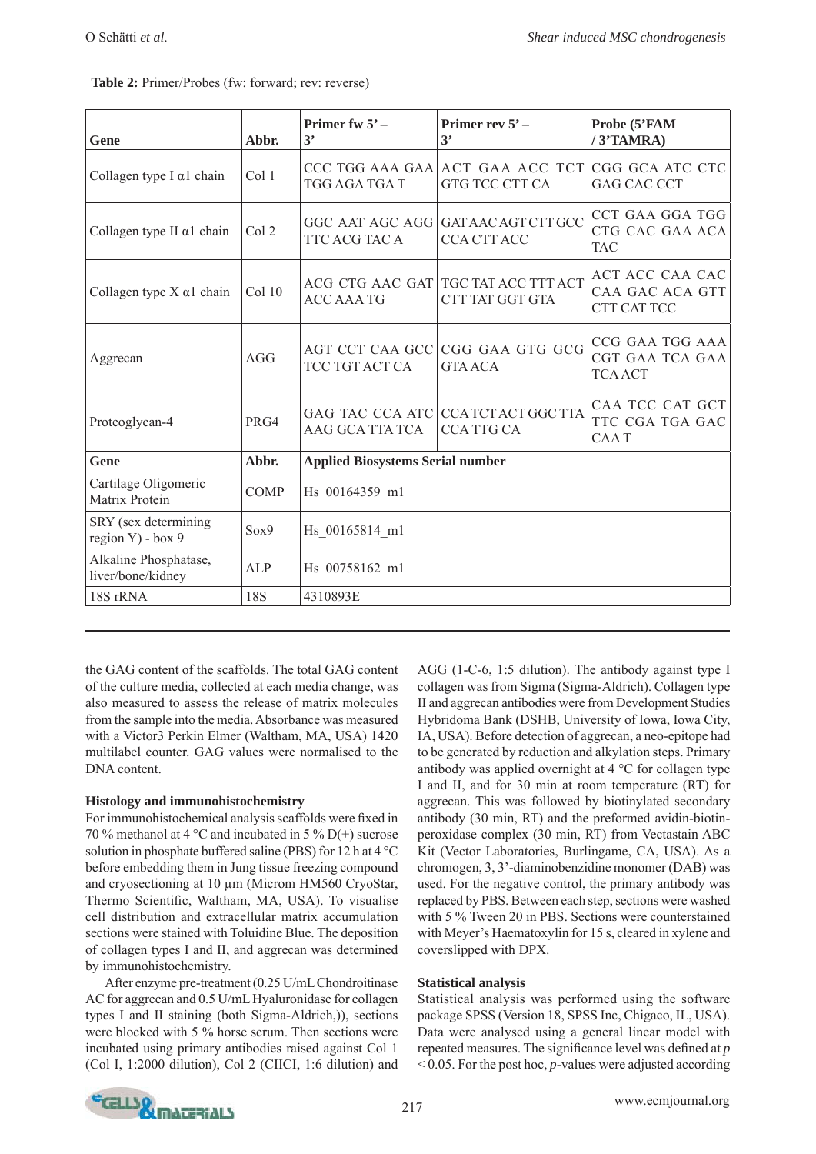| Gene                                       | Abbr.       | Primer fw $5^\circ$ –<br>3'             | Primer rev 5' -<br>3'                                             | Probe (5'FAM<br>/3'TAMRA)                            |  |  |
|--------------------------------------------|-------------|-----------------------------------------|-------------------------------------------------------------------|------------------------------------------------------|--|--|
| Collagen type I $\alpha$ 1 chain           | Col 1       | TGG AGA TGA T                           | CCC TGG AAA GAA ACT GAA ACC TCT CGG GCA ATC CTC<br>GTG TCC CTT CA | <b>GAG CAC CCT</b>                                   |  |  |
| Collagen type II $\alpha$ 1 chain          | Col 2       | TTC ACG TAC A                           | GGC AAT AGC AGG GAT AAC AGT CTT GCC<br>CCA CTT ACC                | CCT GAA GGA TGG<br>CTG CAC GAA ACA<br>TAC            |  |  |
| Collagen type $X \alpha 1$ chain           | Col 10      | <b>ACC AAA TG</b>                       | ACG CTG AAC GAT TGC TAT ACC TTT ACT<br>CTT TAT GGT GTA            | ACT ACC CAA CAC<br>CAA GAC ACA GTT<br>CTT CAT TCC    |  |  |
| Aggrecan                                   | AGG         | TCC TGT ACT CA                          | AGT CCT CAA GCC CGG GAA GTG GCG<br><b>GTA ACA</b>                 | CCG GAA TGG AAA<br>CGT GAA TCA GAA<br><b>TCA ACT</b> |  |  |
| Proteoglycan-4                             | PRG4        | GAG TAC CCA ATC<br>AAG GCA TTA TCA      | CCA TCT ACT GGC TTA<br><b>CCA TTG CA</b>                          | CAA TCC CAT GCT<br>TTC CGA TGA GAC<br><b>CAAT</b>    |  |  |
| Gene                                       | Abbr.       | <b>Applied Biosystems Serial number</b> |                                                                   |                                                      |  |  |
| Cartilage Oligomeric<br>Matrix Protein     | <b>COMP</b> | Hs 00164359 ml                          |                                                                   |                                                      |  |  |
| SRY (sex determining<br>region Y) - box 9  | Sox9        | Hs_00165814_m1                          |                                                                   |                                                      |  |  |
| Alkaline Phosphatase,<br>liver/bone/kidney | <b>ALP</b>  | Hs 00758162 ml                          |                                                                   |                                                      |  |  |
| 18S rRNA                                   | <b>18S</b>  | 4310893E                                |                                                                   |                                                      |  |  |

the GAG content of the scaffolds. The total GAG content of the culture media, collected at each media change, was also measured to assess the release of matrix molecules from the sample into the media. Absorbance was measured with a Victor3 Perkin Elmer (Waltham, MA, USA) 1420 multilabel counter. GAG values were normalised to the DNA content.

# **Histology and immunohistochemistry**

For immunohistochemical analysis scaffolds were fixed in 70 % methanol at 4 °C and incubated in 5 % D(+) sucrose solution in phosphate buffered saline (PBS) for 12 h at 4 °C before embedding them in Jung tissue freezing compound and cryosectioning at 10 μm (Microm HM560 CryoStar, Thermo Scientific, Waltham, MA, USA). To visualise cell distribution and extracellular matrix accumulation sections were stained with Toluidine Blue. The deposition of collagen types I and II, and aggrecan was determined by immunohistochemistry.

 After enzyme pre-treatment (0.25 U/mL Chondroitinase AC for aggrecan and 0.5 U/mL Hyaluronidase for collagen types I and II staining (both Sigma-Aldrich,)), sections were blocked with 5 % horse serum. Then sections were incubated using primary antibodies raised against Col 1 (Col I, 1:2000 dilution), Col 2 (CIICI, 1:6 dilution) and

AGG (1-C-6, 1:5 dilution). The antibody against type I collagen was from Sigma (Sigma-Aldrich). Collagen type II and aggrecan antibodies were from Development Studies Hybridoma Bank (DSHB, University of Iowa, Iowa City, IA, USA). Before detection of aggrecan, a neo-epitope had to be generated by reduction and alkylation steps. Primary antibody was applied overnight at 4 °C for collagen type I and II, and for 30 min at room temperature (RT) for aggrecan. This was followed by biotinylated secondary antibody (30 min, RT) and the preformed avidin-biotinperoxidase complex (30 min, RT) from Vectastain ABC Kit (Vector Laboratories, Burlingame, CA, USA). As a chromogen, 3, 3'-diaminobenzidine monomer (DAB) was used. For the negative control, the primary antibody was replaced by PBS. Between each step, sections were washed with 5 % Tween 20 in PBS. Sections were counterstained with Meyer's Haematoxylin for 15 s, cleared in xylene and coverslipped with DPX.

# **Statistical analysis**

Statistical analysis was performed using the software package SPSS (Version 18, SPSS Inc, Chigaco, IL, USA). Data were analysed using a general linear model with repeated measures. The significance level was defined at *p* < 0.05. For the post hoc, *p*-values were adjusted according

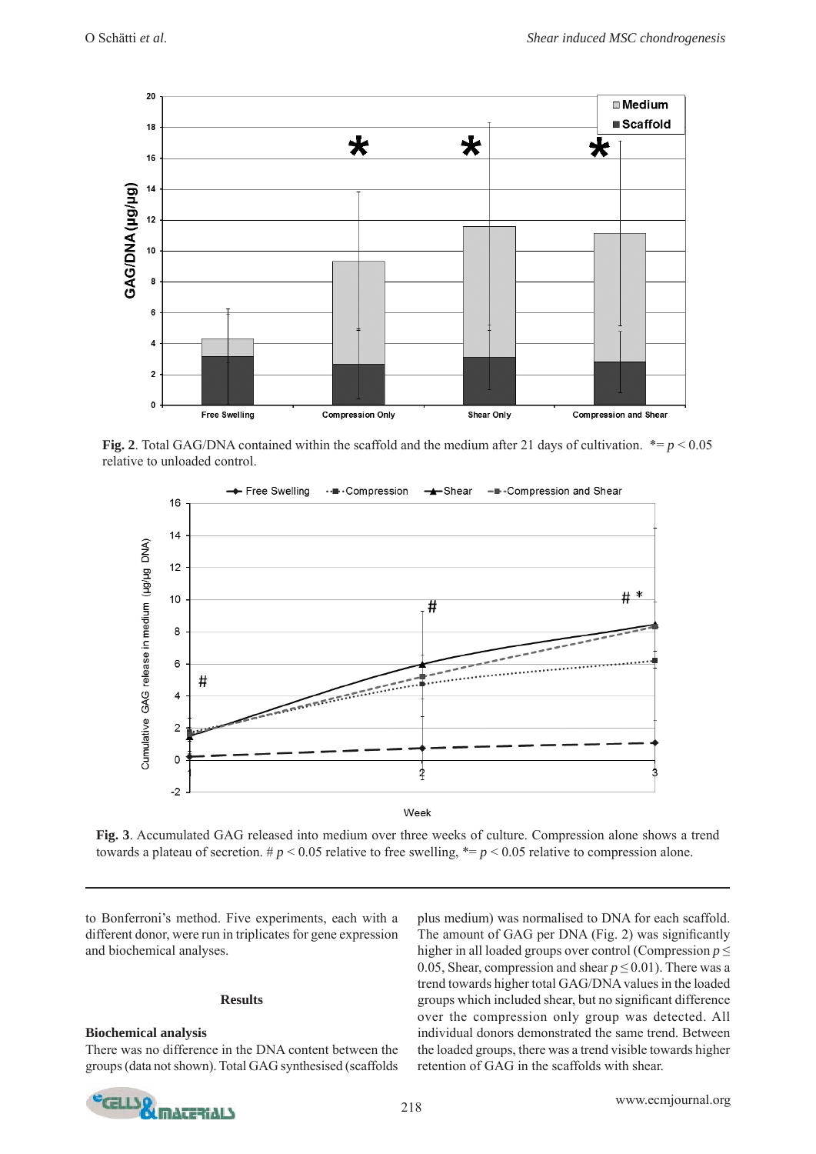

**Fig. 2**. Total GAG/DNA contained within the scaffold and the medium after 21 days of cultivation.  $* = p < 0.05$ relative to unloaded control.



**Fig. 3**. Accumulated GAG released into medium over three weeks of culture. Compression alone shows a trend towards a plateau of secretion.  $\# p \le 0.05$  relative to free swelling,  $\# p \le 0.05$  relative to compression alone.

to Bonferroni's method. Five experiments, each with a different donor, were run in triplicates for gene expression and biochemical analyses.

#### **Results**

#### **Biochemical analysis**

There was no difference in the DNA content between the groups (data not shown). Total GAG synthesised (scaffolds plus medium) was normalised to DNA for each scaffold. The amount of GAG per DNA (Fig. 2) was significantly higher in all loaded groups over control (Compression *p* ≤ 0.05, Shear, compression and shear  $p \le 0.01$ ). There was a trend towards higher total GAG/DNA values in the loaded groups which included shear, but no significant difference over the compression only group was detected. All individual donors demonstrated the same trend. Between the loaded groups, there was a trend visible towards higher retention of GAG in the scaffolds with shear.

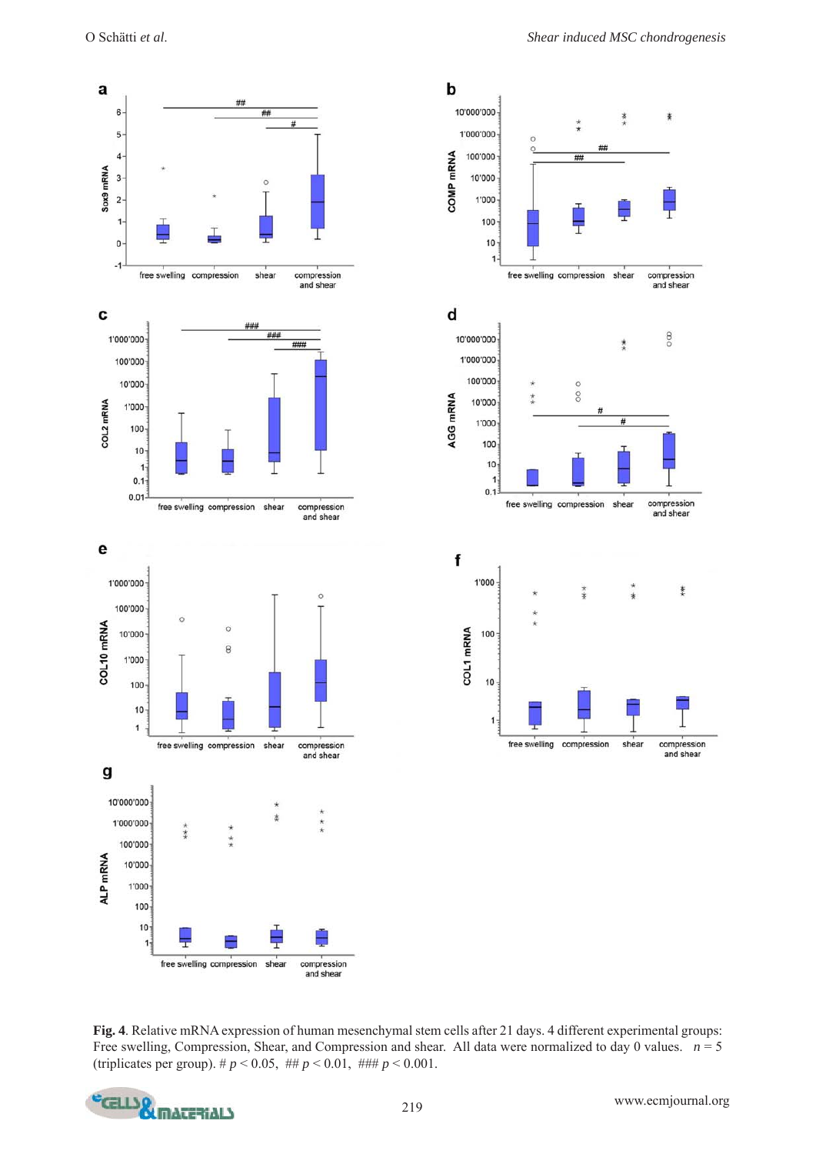a

Sox9 mRNA

 $\mathbf c$ 

COL2 mRNA

e







**Fig. 4**. Relative mRNA expression of human mesenchymal stem cells after 21 days. 4 different experimental groups: Free swelling, Compression, Shear, and Compression and shear. All data were normalized to day 0 values.  $n = 5$ (triplicates per group). #  $p < 0.05$ , ##  $p < 0.01$ , ###  $p < 0.001$ .

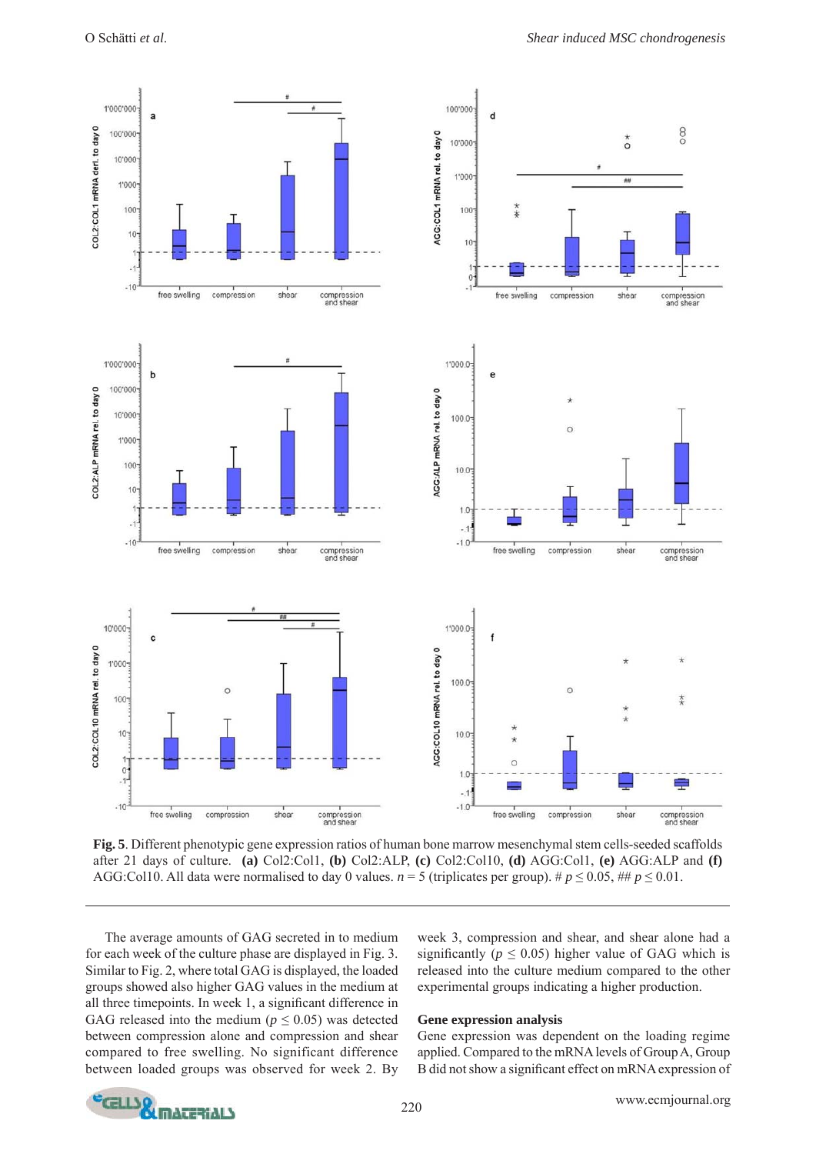

**Fig. 5**. Different phenotypic gene expression ratios of human bone marrow mesenchymal stem cells-seeded scaffolds after 21 days of culture. **(a)** Col2:Col1, **(b)** Col2:ALP, **(c)** Col2:Col10, **(d)** AGG:Col1, **(e)** AGG:ALP and **(f)** AGG:Col10. All data were normalised to day 0 values.  $n = 5$  (triplicates per group). #  $p \le 0.05$ , ##  $p \le 0.01$ .

 The average amounts of GAG secreted in to medium for each week of the culture phase are displayed in Fig. 3. Similar to Fig. 2, where total GAG is displayed, the loaded groups showed also higher GAG values in the medium at all three timepoints. In week 1, a significant difference in GAG released into the medium ( $p \leq 0.05$ ) was detected between compression alone and compression and shear compared to free swelling. No significant difference between loaded groups was observed for week 2. By

week 3, compression and shear, and shear alone had a significantly ( $p \le 0.05$ ) higher value of GAG which is released into the culture medium compared to the other experimental groups indicating a higher production.

# **Gene expression analysis**

Gene expression was dependent on the loading regime applied. Compared to the mRNA levels of Group A, Group B did not show a significant effect on mRNA expression of

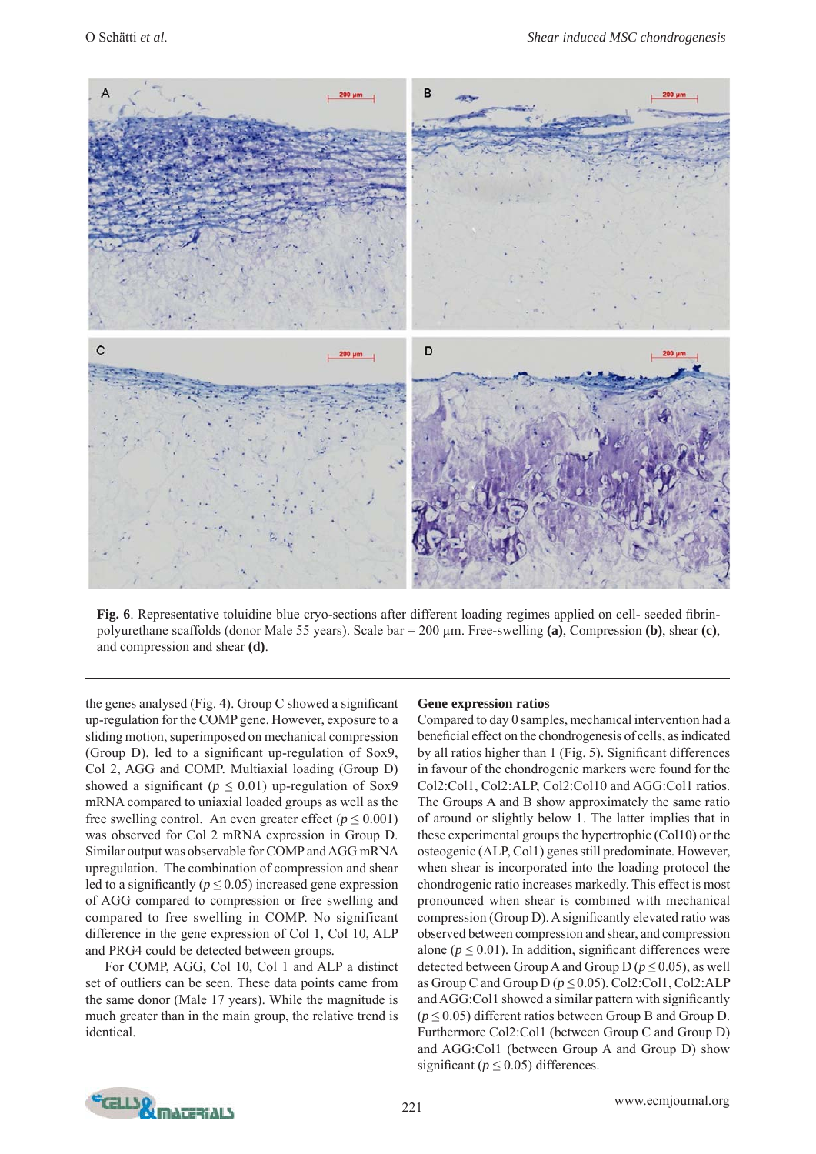

**Fig. 6**. Representative toluidine blue cryo-sections after different loading regimes applied on cell- seeded fibrinpolyurethane scaffolds (donor Male 55 years). Scale bar = 200 μm. Free-swelling **(a)**, Compression **(b)**, shear **(c)**, and compression and shear **(d)**.

the genes analysed (Fig. 4). Group C showed a significant up-regulation for the COMP gene. However, exposure to a sliding motion, superimposed on mechanical compression (Group D), led to a significant up-regulation of Sox9, Col 2, AGG and COMP. Multiaxial loading (Group D) showed a significant ( $p \le 0.01$ ) up-regulation of Sox9 mRNA compared to uniaxial loaded groups as well as the free swelling control. An even greater effect ( $p \le 0.001$ ) was observed for Col 2 mRNA expression in Group D. Similar output was observable for COMP and AGG mRNA upregulation. The combination of compression and shear led to a significantly ( $p \le 0.05$ ) increased gene expression of AGG compared to compression or free swelling and compared to free swelling in COMP. No significant difference in the gene expression of Col 1, Col 10, ALP and PRG4 could be detected between groups.

 For COMP, AGG, Col 10, Col 1 and ALP a distinct set of outliers can be seen. These data points came from the same donor (Male 17 years). While the magnitude is much greater than in the main group, the relative trend is identical.

# **Gene expression ratios**

Compared to day 0 samples, mechanical intervention had a beneficial effect on the chondrogenesis of cells, as indicated by all ratios higher than 1 (Fig. 5). Significant differences in favour of the chondrogenic markers were found for the Col2:Col1, Col2:ALP, Col2:Col10 and AGG:Col1 ratios. The Groups A and B show approximately the same ratio of around or slightly below 1. The latter implies that in these experimental groups the hypertrophic (Col10) or the osteogenic (ALP, Col1) genes still predominate. However, when shear is incorporated into the loading protocol the chondrogenic ratio increases markedly. This effect is most pronounced when shear is combined with mechanical compression (Group D). A significantly elevated ratio was observed between compression and shear, and compression alone ( $p \le 0.01$ ). In addition, significant differences were detected between Group A and Group D ( $p \le 0.05$ ), as well as Group C and Group D  $(p \le 0.05)$ . Col2:Col1, Col2:ALP and AGG: Coll showed a similar pattern with significantly  $(p \le 0.05)$  different ratios between Group B and Group D. Furthermore Col2:Col1 (between Group C and Group D) and AGG:Col1 (between Group A and Group D) show significant ( $p \le 0.05$ ) differences.

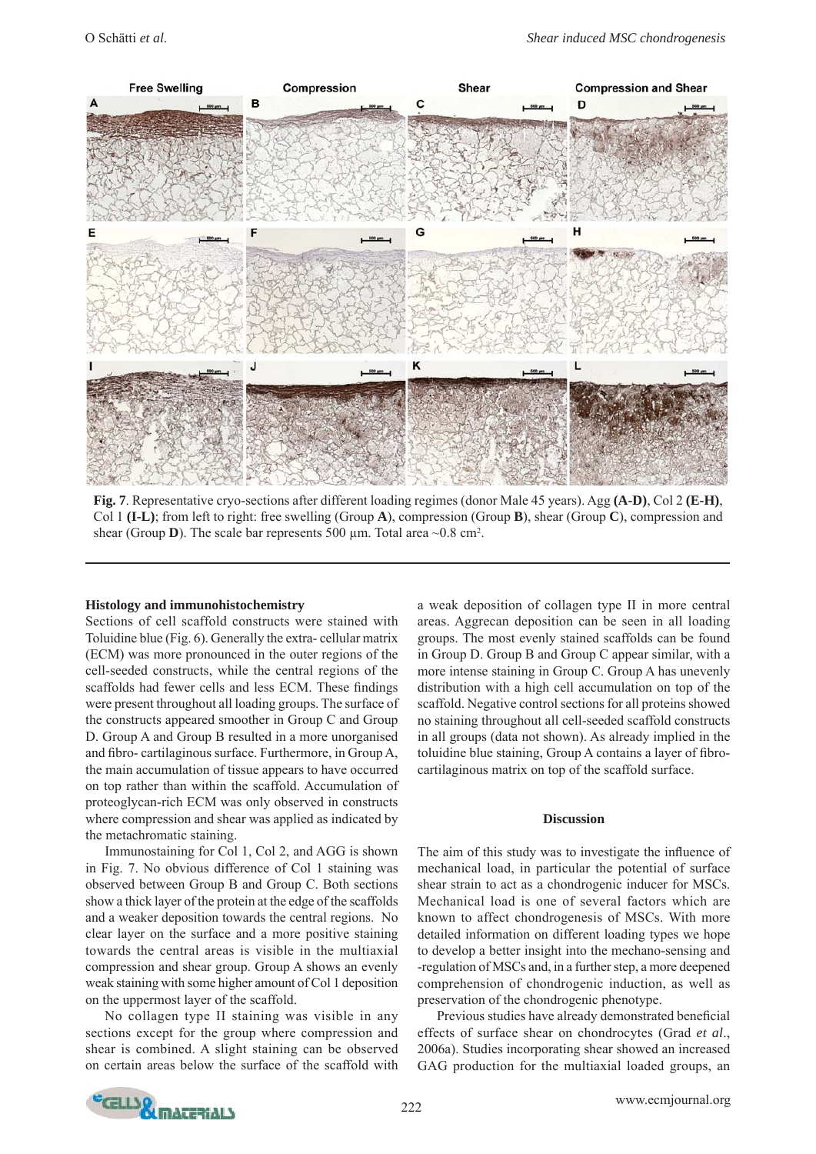

**Fig. 7**. Representative cryo-sections after different loading regimes (donor Male 45 years). Agg **(A-D)**, Col 2 **(E-H)**, Col 1 **(I-L)**; from left to right: free swelling (Group **A**), compression (Group **B**), shear (Group **C**), compression and shear (Group **D**). The scale bar represents 500  $\mu$ m. Total area  $\sim 0.8$  cm<sup>2</sup>.

#### **Histology and immunohistochemistry**

Sections of cell scaffold constructs were stained with Toluidine blue (Fig. 6). Generally the extra- cellular matrix (ECM) was more pronounced in the outer regions of the cell-seeded constructs, while the central regions of the scaffolds had fewer cells and less ECM. These findings were present throughout all loading groups. The surface of the constructs appeared smoother in Group C and Group D. Group A and Group B resulted in a more unorganised and fibro- cartilaginous surface. Furthermore, in Group A, the main accumulation of tissue appears to have occurred on top rather than within the scaffold. Accumulation of proteoglycan-rich ECM was only observed in constructs where compression and shear was applied as indicated by the metachromatic staining.

 Immunostaining for Col 1, Col 2, and AGG is shown in Fig. 7. No obvious difference of Col 1 staining was observed between Group B and Group C. Both sections show a thick layer of the protein at the edge of the scaffolds and a weaker deposition towards the central regions. No clear layer on the surface and a more positive staining towards the central areas is visible in the multiaxial compression and shear group. Group A shows an evenly weak staining with some higher amount of Col 1 deposition on the uppermost layer of the scaffold.

 No collagen type II staining was visible in any sections except for the group where compression and shear is combined. A slight staining can be observed on certain areas below the surface of the scaffold with a weak deposition of collagen type II in more central areas. Aggrecan deposition can be seen in all loading groups. The most evenly stained scaffolds can be found in Group D. Group B and Group C appear similar, with a more intense staining in Group C. Group A has unevenly distribution with a high cell accumulation on top of the scaffold. Negative control sections for all proteins showed no staining throughout all cell-seeded scaffold constructs in all groups (data not shown). As already implied in the toluidine blue staining, Group A contains a layer of fibrocartilaginous matrix on top of the scaffold surface.

#### **Discussion**

The aim of this study was to investigate the influence of mechanical load, in particular the potential of surface shear strain to act as a chondrogenic inducer for MSCs. Mechanical load is one of several factors which are known to affect chondrogenesis of MSCs. With more detailed information on different loading types we hope to develop a better insight into the mechano-sensing and -regulation of MSCs and, in a further step, a more deepened comprehension of chondrogenic induction, as well as preservation of the chondrogenic phenotype.

Previous studies have already demonstrated beneficial effects of surface shear on chondrocytes (Grad *et al*., 2006a). Studies incorporating shear showed an increased GAG production for the multiaxial loaded groups, an

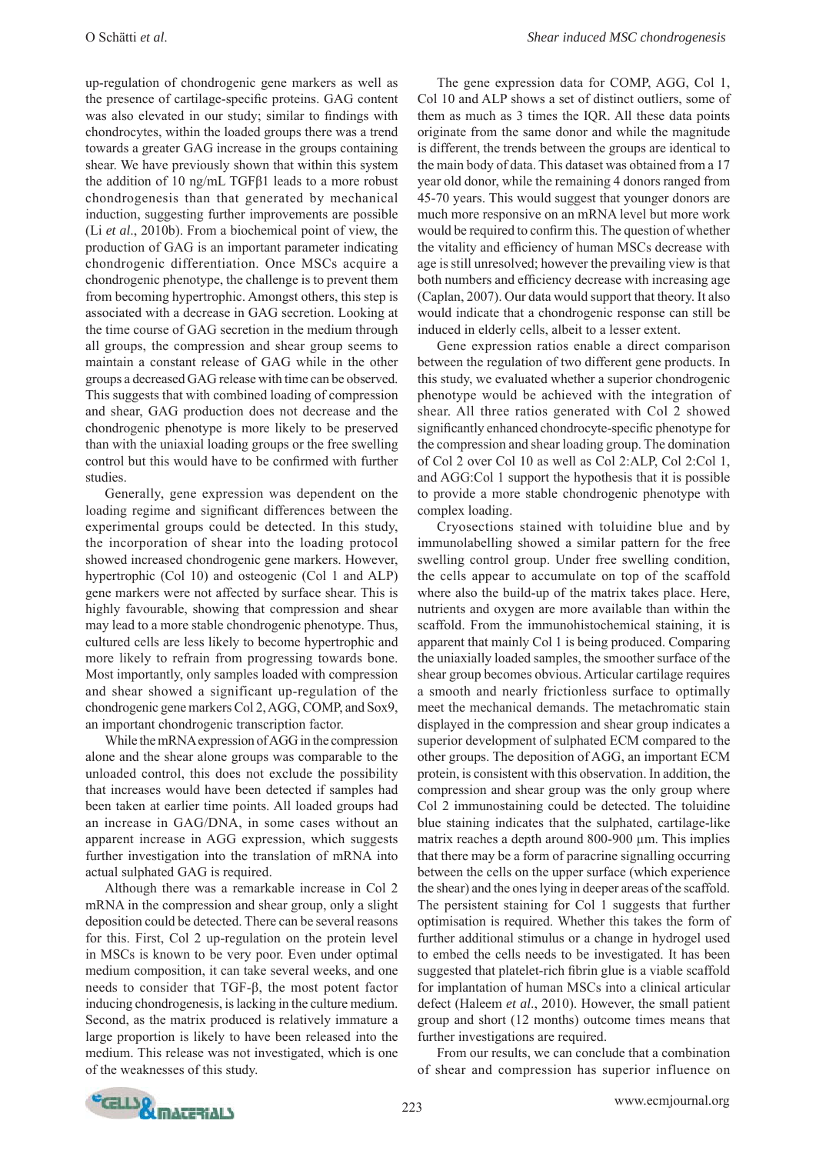up-regulation of chondrogenic gene markers as well as the presence of cartilage-specific proteins. GAG content was also elevated in our study; similar to findings with chondrocytes, within the loaded groups there was a trend towards a greater GAG increase in the groups containing shear. We have previously shown that within this system the addition of 10 ng/mL TGFβ1 leads to a more robust chondrogenesis than that generated by mechanical induction, suggesting further improvements are possible (Li *et al*., 2010b). From a biochemical point of view, the production of GAG is an important parameter indicating chondrogenic differentiation. Once MSCs acquire a chondrogenic phenotype, the challenge is to prevent them from becoming hypertrophic. Amongst others, this step is associated with a decrease in GAG secretion. Looking at the time course of GAG secretion in the medium through all groups, the compression and shear group seems to maintain a constant release of GAG while in the other groups a decreased GAG release with time can be observed. This suggests that with combined loading of compression and shear, GAG production does not decrease and the chondrogenic phenotype is more likely to be preserved than with the uniaxial loading groups or the free swelling control but this would have to be confirmed with further studies.

 Generally, gene expression was dependent on the loading regime and significant differences between the experimental groups could be detected. In this study, the incorporation of shear into the loading protocol showed increased chondrogenic gene markers. However, hypertrophic (Col 10) and osteogenic (Col 1 and ALP) gene markers were not affected by surface shear. This is highly favourable, showing that compression and shear may lead to a more stable chondrogenic phenotype. Thus, cultured cells are less likely to become hypertrophic and more likely to refrain from progressing towards bone. Most importantly, only samples loaded with compression and shear showed a significant up-regulation of the chondrogenic gene markers Col 2, AGG, COMP, and Sox9, an important chondrogenic transcription factor.

 While the mRNA expression of AGG in the compression alone and the shear alone groups was comparable to the unloaded control, this does not exclude the possibility that increases would have been detected if samples had been taken at earlier time points. All loaded groups had an increase in GAG/DNA, in some cases without an apparent increase in AGG expression, which suggests further investigation into the translation of mRNA into actual sulphated GAG is required.

 Although there was a remarkable increase in Col 2 mRNA in the compression and shear group, only a slight deposition could be detected. There can be several reasons for this. First, Col 2 up-regulation on the protein level in MSCs is known to be very poor. Even under optimal medium composition, it can take several weeks, and one needs to consider that TGF-β, the most potent factor inducing chondrogenesis, is lacking in the culture medium. Second, as the matrix produced is relatively immature a large proportion is likely to have been released into the medium. This release was not investigated, which is one of the weaknesses of this study.

 The gene expression data for COMP, AGG, Col 1, Col 10 and ALP shows a set of distinct outliers, some of them as much as 3 times the IQR. All these data points originate from the same donor and while the magnitude is different, the trends between the groups are identical to the main body of data. This dataset was obtained from a 17 year old donor, while the remaining 4 donors ranged from 45-70 years. This would suggest that younger donors are much more responsive on an mRNA level but more work would be required to confirm this. The question of whether the vitality and efficiency of human MSCs decrease with age is still unresolved; however the prevailing view is that both numbers and efficiency decrease with increasing age (Caplan, 2007). Our data would support that theory. It also would indicate that a chondrogenic response can still be induced in elderly cells, albeit to a lesser extent.

 Gene expression ratios enable a direct comparison between the regulation of two different gene products. In this study, we evaluated whether a superior chondrogenic phenotype would be achieved with the integration of shear. All three ratios generated with Col 2 showed significantly enhanced chondrocyte-specific phenotype for the compression and shear loading group. The domination of Col 2 over Col 10 as well as Col 2:ALP, Col 2:Col 1, and AGG:Col 1 support the hypothesis that it is possible to provide a more stable chondrogenic phenotype with complex loading.

 Cryosections stained with toluidine blue and by immunolabelling showed a similar pattern for the free swelling control group. Under free swelling condition, the cells appear to accumulate on top of the scaffold where also the build-up of the matrix takes place. Here, nutrients and oxygen are more available than within the scaffold. From the immunohistochemical staining, it is apparent that mainly Col 1 is being produced. Comparing the uniaxially loaded samples, the smoother surface of the shear group becomes obvious. Articular cartilage requires a smooth and nearly frictionless surface to optimally meet the mechanical demands. The metachromatic stain displayed in the compression and shear group indicates a superior development of sulphated ECM compared to the other groups. The deposition of AGG, an important ECM protein, is consistent with this observation. In addition, the compression and shear group was the only group where Col 2 immunostaining could be detected. The toluidine blue staining indicates that the sulphated, cartilage-like matrix reaches a depth around 800-900 μm. This implies that there may be a form of paracrine signalling occurring between the cells on the upper surface (which experience the shear) and the ones lying in deeper areas of the scaffold. The persistent staining for Col 1 suggests that further optimisation is required. Whether this takes the form of further additional stimulus or a change in hydrogel used to embed the cells needs to be investigated. It has been suggested that platelet-rich fibrin glue is a viable scaffold for implantation of human MSCs into a clinical articular defect (Haleem *et al*., 2010). However, the small patient group and short (12 months) outcome times means that further investigations are required.

 From our results, we can conclude that a combination of shear and compression has superior influence on

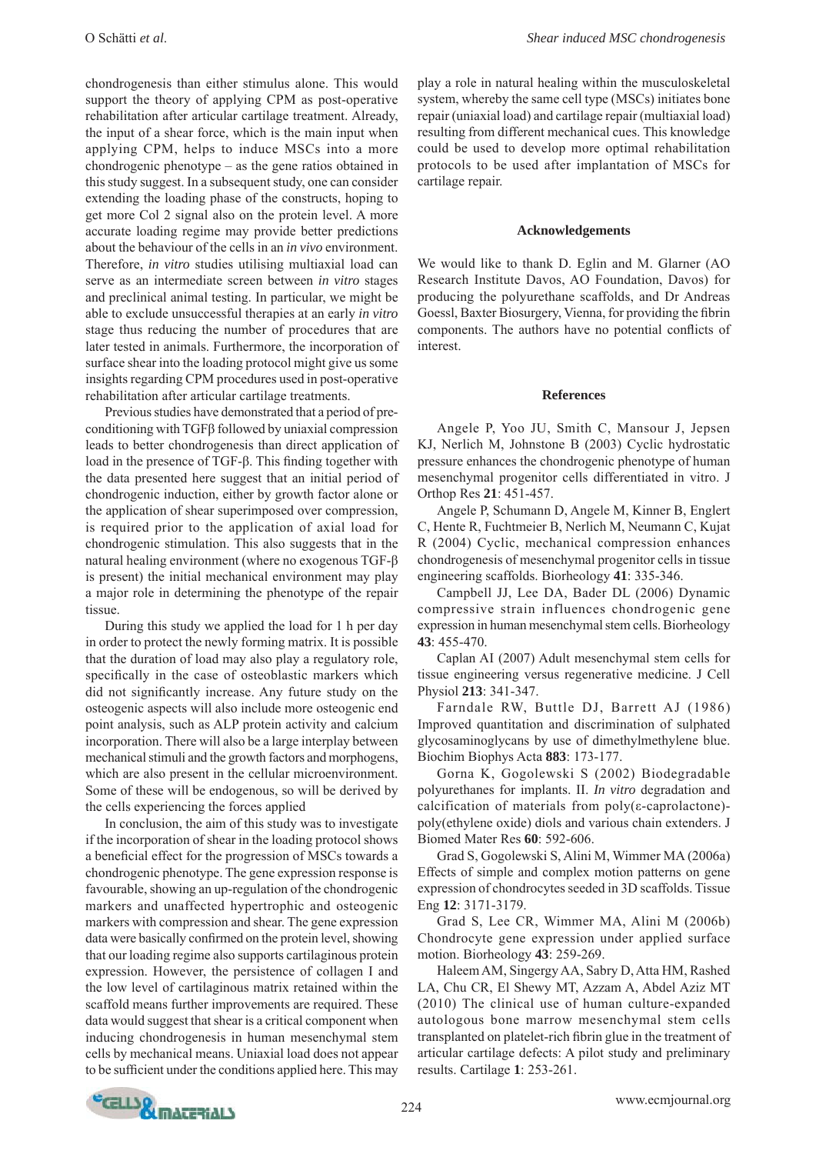chondrogenesis than either stimulus alone. This would support the theory of applying CPM as post-operative rehabilitation after articular cartilage treatment. Already, the input of a shear force, which is the main input when applying CPM, helps to induce MSCs into a more chondrogenic phenotype – as the gene ratios obtained in this study suggest. In a subsequent study, one can consider extending the loading phase of the constructs, hoping to get more Col 2 signal also on the protein level. A more accurate loading regime may provide better predictions about the behaviour of the cells in an *in vivo* environment. Therefore, *in vitro* studies utilising multiaxial load can serve as an intermediate screen between *in vitro* stages and preclinical animal testing. In particular, we might be able to exclude unsuccessful therapies at an early *in vitro* stage thus reducing the number of procedures that are later tested in animals. Furthermore, the incorporation of surface shear into the loading protocol might give us some insights regarding CPM procedures used in post-operative rehabilitation after articular cartilage treatments.

 Previous studies have demonstrated that a period of preconditioning with TGFβ followed by uniaxial compression leads to better chondrogenesis than direct application of load in the presence of TGF-β. This finding together with the data presented here suggest that an initial period of chondrogenic induction, either by growth factor alone or the application of shear superimposed over compression, is required prior to the application of axial load for chondrogenic stimulation. This also suggests that in the natural healing environment (where no exogenous TGF-β is present) the initial mechanical environment may play a major role in determining the phenotype of the repair tissue.

 During this study we applied the load for 1 h per day in order to protect the newly forming matrix. It is possible that the duration of load may also play a regulatory role, specifically in the case of osteoblastic markers which did not significantly increase. Any future study on the osteogenic aspects will also include more osteogenic end point analysis, such as ALP protein activity and calcium incorporation. There will also be a large interplay between mechanical stimuli and the growth factors and morphogens, which are also present in the cellular microenvironment. Some of these will be endogenous, so will be derived by the cells experiencing the forces applied

 In conclusion, the aim of this study was to investigate if the incorporation of shear in the loading protocol shows a beneficial effect for the progression of MSCs towards a chondrogenic phenotype. The gene expression response is favourable, showing an up-regulation of the chondrogenic markers and unaffected hypertrophic and osteogenic markers with compression and shear. The gene expression data were basically confirmed on the protein level, showing that our loading regime also supports cartilaginous protein expression. However, the persistence of collagen I and the low level of cartilaginous matrix retained within the scaffold means further improvements are required. These data would suggest that shear is a critical component when inducing chondrogenesis in human mesenchymal stem cells by mechanical means. Uniaxial load does not appear to be sufficient under the conditions applied here. This may

play a role in natural healing within the musculoskeletal system, whereby the same cell type (MSCs) initiates bone repair (uniaxial load) and cartilage repair (multiaxial load) resulting from different mechanical cues. This knowledge could be used to develop more optimal rehabilitation protocols to be used after implantation of MSCs for cartilage repair.

#### **Acknowledgements**

We would like to thank D. Eglin and M. Glarner (AO Research Institute Davos, AO Foundation, Davos) for producing the polyurethane scaffolds, and Dr Andreas Goessl, Baxter Biosurgery, Vienna, for providing the fibrin components. The authors have no potential conflicts of interest.

#### **References**

 Angele P, Yoo JU, Smith C, Mansour J, Jepsen KJ, Nerlich M, Johnstone B (2003) Cyclic hydrostatic pressure enhances the chondrogenic phenotype of human mesenchymal progenitor cells differentiated in vitro. J Orthop Res **21**: 451-457.

 Angele P, Schumann D, Angele M, Kinner B, Englert C, Hente R, Fuchtmeier B, Nerlich M, Neumann C, Kujat R (2004) Cyclic, mechanical compression enhances chondrogenesis of mesenchymal progenitor cells in tissue engineering scaffolds. Biorheology **41**: 335-346.

 Campbell JJ, Lee DA, Bader DL (2006) Dynamic compressive strain influences chondrogenic gene expression in human mesenchymal stem cells. Biorheology **43**: 455-470.

 Caplan AI (2007) Adult mesenchymal stem cells for tissue engineering versus regenerative medicine. J Cell Physiol **213**: 341-347.

 Farndale RW, Buttle DJ, Barrett AJ (1986) Improved quantitation and discrimination of sulphated glycosaminoglycans by use of dimethylmethylene blue. Biochim Biophys Acta **883**: 173-177.

 Gorna K, Gogolewski S (2002) Biodegradable polyurethanes for implants. II. *In vitro* degradation and calcification of materials from poly(ε-caprolactone) poly(ethylene oxide) diols and various chain extenders. J Biomed Mater Res **60**: 592-606.

 Grad S, Gogolewski S, Alini M, Wimmer MA (2006a) Effects of simple and complex motion patterns on gene expression of chondrocytes seeded in 3D scaffolds. Tissue Eng **12**: 3171-3179.

 Grad S, Lee CR, Wimmer MA, Alini M (2006b) Chondrocyte gene expression under applied surface motion. Biorheology **43**: 259-269.

 Haleem AM, Singergy AA, Sabry D, Atta HM, Rashed LA, Chu CR, El Shewy MT, Azzam A, Abdel Aziz MT (2010) The clinical use of human culture-expanded autologous bone marrow mesenchymal stem cells transplanted on platelet-rich fibrin glue in the treatment of articular cartilage defects: A pilot study and preliminary results. Cartilage **1**: 253-261.